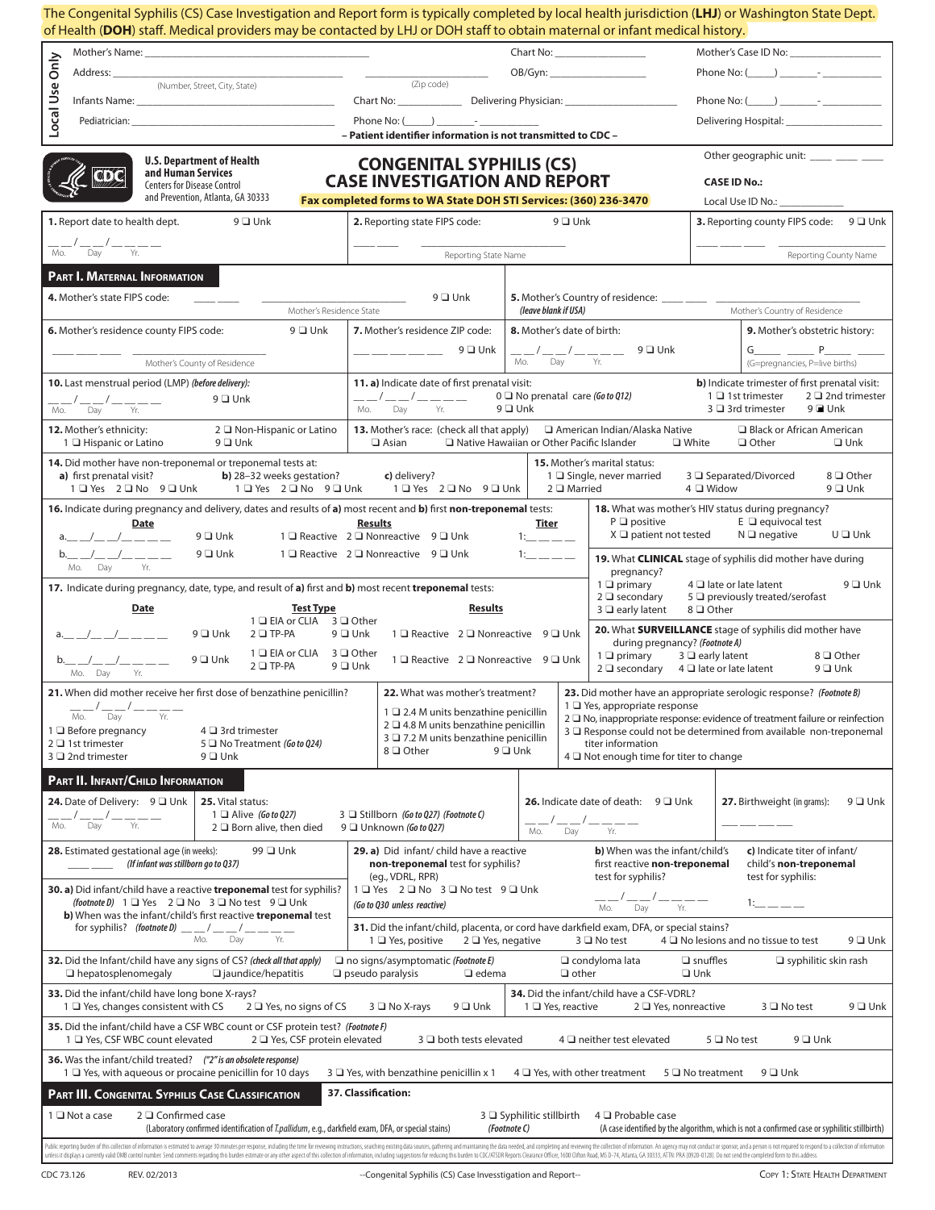| The Congenital Syphilis (CS) Case Investigation and Report form is typically completed by local health jurisdiction (LHJ) or Washington State Dept.<br>of Health (DOH) staff. Medical providers may be contacted by LHJ or DOH staff to obtain maternal or infant medical history.                                                                                                                                                                                                                                                                          |                                                                                          |                                                                                                                                                                                                                                                                                                                                                                                           |                                                                                                                            |
|-------------------------------------------------------------------------------------------------------------------------------------------------------------------------------------------------------------------------------------------------------------------------------------------------------------------------------------------------------------------------------------------------------------------------------------------------------------------------------------------------------------------------------------------------------------|------------------------------------------------------------------------------------------|-------------------------------------------------------------------------------------------------------------------------------------------------------------------------------------------------------------------------------------------------------------------------------------------------------------------------------------------------------------------------------------------|----------------------------------------------------------------------------------------------------------------------------|
|                                                                                                                                                                                                                                                                                                                                                                                                                                                                                                                                                             |                                                                                          |                                                                                                                                                                                                                                                                                                                                                                                           |                                                                                                                            |
| (Number, Street, City, State)                                                                                                                                                                                                                                                                                                                                                                                                                                                                                                                               | (Zip code)                                                                               | OB/Gyn: ______________________                                                                                                                                                                                                                                                                                                                                                            | Phone No: $($ $)$ $-$                                                                                                      |
| Infants Name: _____<br>the control of the control of the                                                                                                                                                                                                                                                                                                                                                                                                                                                                                                    |                                                                                          | Chart No: Delivering Physician: Chart No:                                                                                                                                                                                                                                                                                                                                                 | Phone No: $(\_\_\_\_\_\_\$                                                                                                 |
| Local Use Only                                                                                                                                                                                                                                                                                                                                                                                                                                                                                                                                              |                                                                                          |                                                                                                                                                                                                                                                                                                                                                                                           | Delivering Hospital: ____________________                                                                                  |
| - Patient identifier information is not transmitted to CDC -<br>Other geographic unit: _____ ____ ____                                                                                                                                                                                                                                                                                                                                                                                                                                                      |                                                                                          |                                                                                                                                                                                                                                                                                                                                                                                           |                                                                                                                            |
| <b>U.S. Department of Health</b><br><b>CONGENITAL SYPHILIS (CS)</b><br>and Human Services<br>dod<br><b>CASE INVESTIGATION AND REPORT</b><br><b>CASE ID No.:</b><br><b>Centers for Disease Control</b>                                                                                                                                                                                                                                                                                                                                                       |                                                                                          |                                                                                                                                                                                                                                                                                                                                                                                           |                                                                                                                            |
| and Prevention, Atlanta, GA 30333                                                                                                                                                                                                                                                                                                                                                                                                                                                                                                                           | Fax completed forms to WA State DOH STI Services: (360) 236-3470                         |                                                                                                                                                                                                                                                                                                                                                                                           | Local Use ID No.: _____________                                                                                            |
| 1. Report date to health dept.<br>$9$ $\Box$ Unk                                                                                                                                                                                                                                                                                                                                                                                                                                                                                                            | 2. Reporting state FIPS code:                                                            | $9$ $\square$ Unk                                                                                                                                                                                                                                                                                                                                                                         | 3. Reporting county FIPS code: 9 □ Unk                                                                                     |
| $\frac{1}{\mathsf{Mo.}} / \frac{1}{\mathsf{Day}} / \frac{1}{\mathsf{Yr.}}$ — $\frac{1}{\mathsf{Yr.}}$                                                                                                                                                                                                                                                                                                                                                                                                                                                       | Reporting State Name                                                                     |                                                                                                                                                                                                                                                                                                                                                                                           | Reporting County Name                                                                                                      |
| PART I. MATERNAL INFORMATION                                                                                                                                                                                                                                                                                                                                                                                                                                                                                                                                |                                                                                          |                                                                                                                                                                                                                                                                                                                                                                                           |                                                                                                                            |
| 4. Mother's state FIPS code:<br>$9$ $\square$ Unk<br>5. Mother's Country of residence: _____ ____ ___<br>Mother's Residence State                                                                                                                                                                                                                                                                                                                                                                                                                           |                                                                                          |                                                                                                                                                                                                                                                                                                                                                                                           |                                                                                                                            |
| 6. Mother's residence county FIPS code:<br>9 □ Unk                                                                                                                                                                                                                                                                                                                                                                                                                                                                                                          | 7. Mother's residence ZIP code:                                                          | (leave blank if USA)<br>8. Mother's date of birth:                                                                                                                                                                                                                                                                                                                                        | Mother's Country of Residence<br>9. Mother's obstetric history:                                                            |
|                                                                                                                                                                                                                                                                                                                                                                                                                                                                                                                                                             | 9 ❑ Unk                                                                                  | $\frac{\mu_1}{\mu_2} = \frac{\mu_2}{\mu_1} = \frac{\mu_2}{\mu_2} = \frac{\mu_1}{\mu_2} = \frac{9}{2}$ Unk                                                                                                                                                                                                                                                                                 | $G \qquad P \qquad P$                                                                                                      |
| Mother's County of Residence<br>10. Last menstrual period (LMP) (before delivery):                                                                                                                                                                                                                                                                                                                                                                                                                                                                          |                                                                                          | $M_0$ . Day $\overline{Y}$ r.                                                                                                                                                                                                                                                                                                                                                             | (G=pregnancies, P=live births)<br>b) Indicate trimester of first prenatal visit:                                           |
| 11. a) Indicate date of first prenatal visit:<br>$0 \square$ No prenatal care (Go to Q12)<br>1 □ 1st trimester<br>$2 \square$ 2nd trimester<br>__/__/____<br>$9 \square$ Unk<br>$9$ $\Box$ Unk<br>3 □ 3rd trimester<br>9 <b>■</b> Unk<br>Day<br>Yr.<br>Mo.<br>Dav Yr.                                                                                                                                                                                                                                                                                       |                                                                                          |                                                                                                                                                                                                                                                                                                                                                                                           |                                                                                                                            |
| 12. Mother's ethnicity:<br>2 □ Non-Hispanic or Latino<br><b>13.</b> Mother's race: (check all that apply)<br>$\Box$ American Indian/Alaska Native<br>□ Black or African American<br>Native Hawaiian or Other Pacific Islander<br>1 L Hispanic or Latino<br>$9$ $\Box$ Unk<br>$\Box$ Asian<br>$\square$ White<br>$\Box$ Other<br>$\Box$ Unk                                                                                                                                                                                                                  |                                                                                          |                                                                                                                                                                                                                                                                                                                                                                                           |                                                                                                                            |
| 14. Did mother have non-treponemal or treponemal tests at:                                                                                                                                                                                                                                                                                                                                                                                                                                                                                                  |                                                                                          | <b>15.</b> Mother's marital status:                                                                                                                                                                                                                                                                                                                                                       |                                                                                                                            |
| <b>b</b> ) 28-32 weeks gestation?<br>a) first prenatal visit?<br>1 U Yes 2 U No 9 U Unk 1 U Yes 2 U No 9 U Unk                                                                                                                                                                                                                                                                                                                                                                                                                                              | c) delivery?<br>1 □ Yes 2 □ No 9 □ Unk                                                   | 1 Single, never married<br>$2 \square$ Married                                                                                                                                                                                                                                                                                                                                            | 3 □ Separated/Divorced<br>8 □ Other<br>4 Widow<br>$9$ $\square$ Unk                                                        |
| 16. Indicate during pregnancy and delivery, dates and results of a) most recent and b) first non-treponemal tests:<br>Date<br>$a_{2} = -1$ and $a_{3} = -1$ and $a_{4} = -1$ and $a_{5} = -1$ and $a_{6} = -1$ and $a_{7} = -1$ and $a_{8} = -1$ and $a_{9} = -1$ and $a_{10} = -1$ and $a_{11} = -1$ and $a_{12} = -1$ and $a_{13} = -1$ and $a_{14} = -1$ and $a_{15} = -1$ and $a_{16} = -1$ and $a_{1$<br>9 □ Unk                                                                                                                                       | <b>Results</b><br>1 □ Reactive 2 □ Nonreactive 9 □ Unk                                   | $P \square$ positive<br>Titer<br>$X \square$ patient not tested<br>$1:$ $\frac{1}{2}$ $\frac{1}{2}$ $\frac{1}{2}$ $\frac{1}{2}$ $\frac{1}{2}$ $\frac{1}{2}$ $\frac{1}{2}$ $\frac{1}{2}$ $\frac{1}{2}$ $\frac{1}{2}$ $\frac{1}{2}$ $\frac{1}{2}$ $\frac{1}{2}$ $\frac{1}{2}$ $\frac{1}{2}$ $\frac{1}{2}$ $\frac{1}{2}$ $\frac{1}{2}$ $\frac{1}{2}$ $\frac{1}{2}$ $\frac{1}{2}$ $\frac{1}{$ | 18. What was mother's HIV status during pregnancy?<br>$E$ $\Box$ equivocal test<br>$U \square$ Unk<br>$N \square$ negative |
| $b_{-}$ $1 - 1 -$<br>$9$ $\square$ Unk<br>Mo. Day<br>Yr.                                                                                                                                                                                                                                                                                                                                                                                                                                                                                                    | 1 □ Reactive 2 □ Nonreactive 9 □ Unk                                                     | 11                                                                                                                                                                                                                                                                                                                                                                                        | 19. What CLINICAL stage of syphilis did mother have during                                                                 |
| 17. Indicate during pregnancy, date, type, and result of a) first and b) most recent treponemal tests:                                                                                                                                                                                                                                                                                                                                                                                                                                                      |                                                                                          | pregnancy?<br>$1 \square$ primary                                                                                                                                                                                                                                                                                                                                                         | $4 \square$ late or late latent<br>$9 \square$ Unk                                                                         |
| Date<br><b>Test Type</b><br>1 □ EIA or CLIA 3 □ Other                                                                                                                                                                                                                                                                                                                                                                                                                                                                                                       | <b>Results</b>                                                                           | $2 \square$ secondary<br>$3 \square$ early latent                                                                                                                                                                                                                                                                                                                                         | 5 D previously treated/serofast<br>8 O Other                                                                               |
| a. $1 - 1 - 1 - 1$<br>$9 \square$ Unk<br>$2 \square$ TP-PA                                                                                                                                                                                                                                                                                                                                                                                                                                                                                                  | $9$ $\Box$ Unk<br>1 □ Reactive 2 □ Nonreactive 9 □ Unk<br>during pregnancy? (Footnote A) |                                                                                                                                                                                                                                                                                                                                                                                           | 20. What SURVEILLANCE stage of syphilis did mother have                                                                    |
| 1 □ EIA or CLIA 3 □ Other<br>$9$ $\square$ Unk<br>$\begin{array}{c} -\end{array}$<br>$2$ $\Box$ TP-PA<br>Mo. Day Yr.                                                                                                                                                                                                                                                                                                                                                                                                                                        | 1 □ Reactive 2 □ Nonreactive 9 □ Unk<br>$9$ $\Box$ Unk                                   | $1 \square$ primary                                                                                                                                                                                                                                                                                                                                                                       | $3 \square$ early latent<br>8 □ Other<br>$2 \square$ secondary $4 \square$ late or late latent<br>$9$ $\square$ Unk        |
| 21. When did mother receive her first dose of benzathine penicillin?<br>22. What was mother's treatment?<br>23. Did mother have an appropriate serologic response? (Footnote B)<br>1 □ Yes, appropriate response                                                                                                                                                                                                                                                                                                                                            |                                                                                          |                                                                                                                                                                                                                                                                                                                                                                                           |                                                                                                                            |
| 1 □ 2.4 M units benzathine penicillin<br>Yr.<br>Day<br>Mo.<br>2 □ No, inappropriate response: evidence of treatment failure or reinfection<br>2 □ 4.8 M units benzathine penicillin<br>4 □ 3rd trimester<br>$1 \square$ Before pregnancy<br>3 □ Response could not be determined from available non-treponemal                                                                                                                                                                                                                                              |                                                                                          |                                                                                                                                                                                                                                                                                                                                                                                           |                                                                                                                            |
| 2 □ 1st trimester<br>5 □ No Treatment (Go to Q24)<br>3 □ 2nd trimester<br>$9$ $\square$ Unk                                                                                                                                                                                                                                                                                                                                                                                                                                                                 | 3 □ 7.2 M units benzathine penicillin<br>8 □ Other                                       | titer information<br>$9$ $\square$ Unk                                                                                                                                                                                                                                                                                                                                                    |                                                                                                                            |
| PART II. INFANT/CHILD INFORMATION                                                                                                                                                                                                                                                                                                                                                                                                                                                                                                                           |                                                                                          | $4 \square$ Not enough time for titer to change                                                                                                                                                                                                                                                                                                                                           |                                                                                                                            |
| 24. Date of Delivery: 9 □ Unk<br>25. Vital status:                                                                                                                                                                                                                                                                                                                                                                                                                                                                                                          |                                                                                          | <b>26.</b> Indicate date of death: $9 \square$ Unk                                                                                                                                                                                                                                                                                                                                        | $9$ $\square$ Unk<br>27. Birthweight (in grams):                                                                           |
| $1 \square$ Alive (Go to Q27)<br>Day<br>Yr.<br>$2 \square$ Born alive, then died                                                                                                                                                                                                                                                                                                                                                                                                                                                                            | 3 Stillborn (Go to Q27) (Footnote C)<br>$9 \Box$ Unknown (Go to Q27)                     | Mo.<br>Day<br>Yr.                                                                                                                                                                                                                                                                                                                                                                         |                                                                                                                            |
| 28. Estimated gestational age (in weeks):<br>99 <b>□</b> Unk<br>(If infant was stillborn go to Q37)                                                                                                                                                                                                                                                                                                                                                                                                                                                         | 29. a) Did infant/ child have a reactive<br>non-treponemal test for syphilis?            | b) When was the infant/child's<br>first reactive non-treponemal                                                                                                                                                                                                                                                                                                                           | c) Indicate titer of infant/<br>child's non-treponemal                                                                     |
|                                                                                                                                                                                                                                                                                                                                                                                                                                                                                                                                                             | (eg., VDRL, RPR)                                                                         | test for syphilis?                                                                                                                                                                                                                                                                                                                                                                        | test for syphilis:                                                                                                         |
| 30. a) Did infant/child have a reactive treponemal test for syphilis?<br>1 □ Yes 2 □ No 3 □ No test 9 □ Unk<br>$\frac{1}{\sqrt{100}}$ / $\frac{1}{\sqrt{100}}$ / $\frac{1}{\sqrt{100}}$ / $\frac{1}{\sqrt{100}}$ / $\frac{1}{\sqrt{100}}$ / $\frac{1}{\sqrt{100}}$ / $\frac{1}{\sqrt{100}}$ / $\frac{1}{\sqrt{100}}$ / $\frac{1}{\sqrt{100}}$ / $\frac{1}{\sqrt{100}}$ / $\frac{1}{\sqrt{100}}$ / $\frac{1}{\sqrt{100}}$ / $\frac{1}{\sqrt{100}}$ /<br>(footnote D) 1 □ Yes 2 □ No 3 □ No test 9 □ Unk<br>$1:$ $\_\_$ $\_\_$<br>(Go to Q30 unless reactive) |                                                                                          |                                                                                                                                                                                                                                                                                                                                                                                           |                                                                                                                            |
| b) When was the infant/child's first reactive treponemal test<br>for syphilis? (footnote D) $\frac{m}{m}$ $\frac{m}{m}$ $\frac{m}{m}$<br>Mo.<br>Day                                                                                                                                                                                                                                                                                                                                                                                                         | 1 □ Yes, positive<br>$2 \square$ Yes, negative                                           | 31. Did the infant/child, placenta, or cord have darkfield exam, DFA, or special stains?<br>$3 \square$ No test                                                                                                                                                                                                                                                                           | $4 \square$ No lesions and no tissue to test<br>9 □ Unk                                                                    |
| 32. Did the Infant/child have any signs of CS? (check all that apply)                                                                                                                                                                                                                                                                                                                                                                                                                                                                                       | $\Box$ no signs/asymptomatic (Footnote E)                                                | $\Box$ condyloma lata                                                                                                                                                                                                                                                                                                                                                                     | $\Box$ snuffles<br>$\Box$ syphilitic skin rash                                                                             |
| $\Box$ hepatosplenomegaly<br>$\Box$ jaundice/hepatitis<br>33. Did the infant/child have long bone X-rays?                                                                                                                                                                                                                                                                                                                                                                                                                                                   | $\Box$ pseudo paralysis<br>$\Box$ edema                                                  | $\Box$ other<br>34. Did the infant/child have a CSF-VDRL?                                                                                                                                                                                                                                                                                                                                 | $\n  Unk$                                                                                                                  |
| 1 T Yes, changes consistent with CS<br>$9$ $\square$ Unk<br>2 □ Yes, nonreactive<br>3 Q No test<br>$9$ $\square$ Unk<br>$2 \square$ Yes, no signs of CS<br>3 □ No X-rays<br>$1 \square$ Yes, reactive<br>35. Did the infant/child have a CSF WBC count or CSF protein test? (Footnote F)<br>1 □ Yes, CSF WBC count elevated<br>2 □ Yes, CSF protein elevated<br>3 L both tests elevated<br>$4 \square$ neither test elevated<br>9 □ Unk<br>$5 \square$ No test                                                                                              |                                                                                          |                                                                                                                                                                                                                                                                                                                                                                                           |                                                                                                                            |
| <b>36.</b> Was the infant/child treated? ("2" is an obsolete response)                                                                                                                                                                                                                                                                                                                                                                                                                                                                                      |                                                                                          |                                                                                                                                                                                                                                                                                                                                                                                           |                                                                                                                            |
| 1 □ Yes, with aqueous or procaine penicillin for 10 days<br>$4 \square$ Yes, with other treatment<br>$3 \square$ Yes, with benzathine penicillin x 1<br>5 O No treatment<br>9 □ Unk<br>37. Classification:<br>PART III. CONGENITAL SYPHILIS CASE CLASSIFICATION                                                                                                                                                                                                                                                                                             |                                                                                          |                                                                                                                                                                                                                                                                                                                                                                                           |                                                                                                                            |
| 2 □ Confirmed case<br>3 Syphilitic stillbirth<br>$1 \square$ Not a case<br>$4 \square$ Probable case<br>(Laboratory confirmed identification of T.pallidum, e.g., darkfield exam, DFA, or special stains)<br>(Footnote C)<br>(A case identified by the algorithm, which is not a confirmed case or syphilitic stillbirth)                                                                                                                                                                                                                                   |                                                                                          |                                                                                                                                                                                                                                                                                                                                                                                           |                                                                                                                            |
| Public reporting burden of this collection of information is estimated to average 30 minutes per response, including the time for reviewing instructions, searching existing data sources, appleman and maintaining the data n                                                                                                                                                                                                                                                                                                                              |                                                                                          |                                                                                                                                                                                                                                                                                                                                                                                           |                                                                                                                            |
| COPY 1: STATE HEALTH DEPARTMENT<br>--Congenital Syphilis (CS) Case Invesstigation and Report--<br>CDC 73.126<br>REV. 02/2013                                                                                                                                                                                                                                                                                                                                                                                                                                |                                                                                          |                                                                                                                                                                                                                                                                                                                                                                                           |                                                                                                                            |